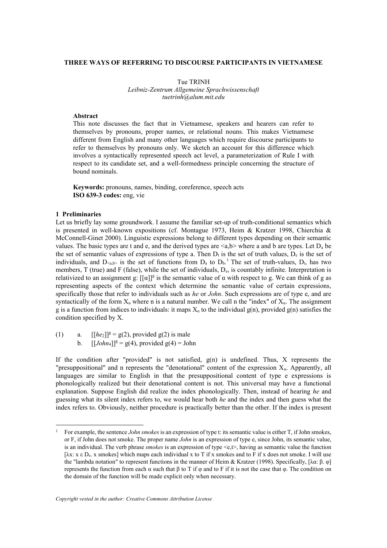# **THREE WAYS OF REFERRING TO DISCOURSE PARTICIPANTS IN VIETNAMESE**

Tue TRINH *Leibniz-Zentrum Allgemeine Sprachwissenschaft tuetrinh@alum.mit.edu*

### **Abstract**

This note discusses the fact that in Vietnamese, speakers and hearers can refer to themselves by pronouns, proper names, or relational nouns. This makes Vietnamese different from English and many other languages which require discourse participants to refer to themselves by pronouns only. We sketch an account for this difference which involves a syntactically represented speech act level, a parameterization of Rule I with respect to its candidate set, and a well-formedness principle concerning the structure of bound nominals.

**Keywords:** pronouns, names, binding, coreference, speech acts **ISO 639-3 codes:** eng, vie

### **1 Preliminaries**

Let us briefly lay some groundwork. I assume the familiar set-up of truth-conditional semantics which is presented in well-known expositions (cf. Montague 1973, Heim & Kratzer 1998, Chierchia & McConnell-Ginet 2000). Linguistic expressions belong to different types depending on their semantic values. The basic types are t and e, and the derived types are  $\langle a,b \rangle$  where a and b are types. Let  $D_a$  be the set of semantic values of expressions of type a. Then  $D_t$  is the set of truth values,  $D_e$  is the set of individuals, and  $D_{\leq a,b>}$  is the set of functions from  $D_a$  to  $D_b$ . The set of truth-values,  $D_t$ , has two members, T (true) and F (false), while the set of individuals, De, is countably infinite. Interpretation is relativized to an assignment g:  $[[\alpha]]^g$  is the semantic value of  $\alpha$  with respect to g. We can think of g as representing aspects of the context which determine the semantic value of certain expressions, specifically those that refer to individuals such as *he* or *John*. Such expressions are of type e, and are syntactically of the form  $X_n$  where n is a natural number. We call n the "index" of  $X_n$ . The assignment g is a function from indices to individuals: it maps  $X_n$  to the individual  $g(n)$ , provided  $g(n)$  satisfies the condition specified by X.

(1) a.  $[[he_2]]^g = g(2)$ , provided  $g(2)$  is male

b.  $[[John_4]]^g = g(4)$ , provided  $g(4) = John$ 

If the condition after "provided" is not satisfied,  $g(n)$  is undefined. Thus, X represents the "presuppositional" and n represents the "denotational" content of the expression  $X_n$ . Apparently, all languages are similar to English in that the presuppositional content of type e expressions is phonologically realized but their denotational content is not. This universal may have a functional explanation. Suppose English did realize the index phonologically. Then, instead of hearing *he* and guessing what its silent index refers to, we would hear both *he* and the index and then guess what the index refers to. Obviously, neither procedure is practically better than the other. If the index is present

<sup>1</sup> For example, the sentence *John smokes* is an expression of type t: its semantic value is either T, if John smokes, or F, if John does not smoke. The proper name *John* is an expression of type e, since John, its semantic value, is an individual. The verb phrase *smokes* is an expression of type <e,t>, having as semantic value the function  $[\lambda x: x \in D_{\varepsilon}]$ , x smokes] which maps each individual x to T if x smokes and to F if x does not smoke. I will use the "lambda notation" to represent functions in the manner of Heim & Kratzer (1998). Specifically, [λα: β. φ] represents the function from each α such that β to T if  $\varphi$  and to F if it is not the case that  $\varphi$ . The condition on the domain of the function will be made explicit only when necessary.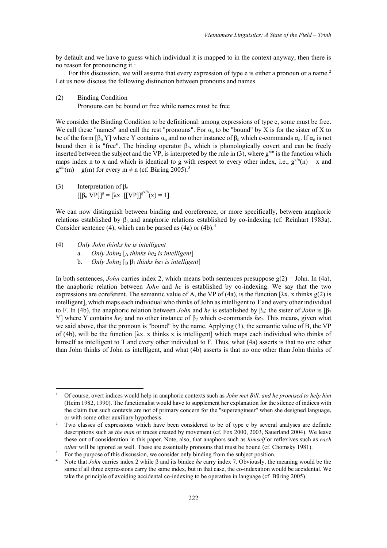by default and we have to guess which individual it is mapped to in the context anyway, then there is no reason for pronouncing it.<sup>1</sup>

For this discussion, we will assume that every expression of type e is either a pronoun or a name.<sup>2</sup> Let us now discuss the following distinction between pronouns and names.

(2) Binding Condition

Pronouns can be bound or free while names must be free

We consider the Binding Condition to be definitional: among expressions of type e, some must be free. We call these "names" and call the rest "pronouns". For  $\alpha_n$  to be "bound" by X is for the sister of X to be of the form  $[\beta_n Y]$  where Y contains  $\alpha_n$  and no other instance of  $\beta_n$  which c-commands  $\alpha_n$ . If  $\alpha_n$  is not bound then it is "free". The binding operator  $\beta_n$ , which is phonologically covert and can be freely inserted between the subject and the VP, is interpreted by the rule in (3), where  $g^{x/n}$  is the function which maps index n to x and which is identical to g with respect to every other index, i.e.,  $g^{x/n}(n) = x$  and  $g^{x/n}(m) = g(m)$  for every  $m \neq n$  (cf. Büring 2005).<sup>3</sup>

(3) Interpretation of  $\beta_n$  $[$ [ $\beta_n \text{VP}]$ ]<sup>g</sup> = [ $\lambda$ x. [[VP]]<sup>gx/n</sup>(x) = 1]

We can now distinguish between binding and coreference, or more specifically, between anaphoric relations established by β<sub>n</sub> and anaphoric relations established by co-indexing (cf. Reinhart 1983a). Consider sentence (4), which can be parsed as (4a) or (4b).<sup>4</sup>

(4) *Only John thinks he is intelligent*

- a. *Only John*<sub>2</sub> [A</sub> *thinks he<sub>2</sub> is intelligent*]
- b. *Only John*<sub>2</sub> [B  $\beta$ <sub>7</sub> *thinks he<sub>7</sub> <i>is intelligent*]

In both sentences, *John* carries index 2, which means both sentences presuppose  $g(2) =$  John. In (4a), the anaphoric relation between *John* and *he* is established by co-indexing. We say that the two expressions are coreferent. The semantic value of A, the VP of (4a), is the function  $[\lambda x]$ . x thinks g(2) is intelligent], which maps each individual who thinks of John as intelligent to T and every other individual to F. In (4b), the anaphoric relation between *John* and *he* is established by βn: the sister of *John* is [β<sup>7</sup> Y] where Y contains *he*<sup>7</sup> and no other instance of β<sup>7</sup> which c-commands *he*7. This means, given what we said above, that the pronoun is "bound" by the name. Applying (3), the semantic value of B, the VP of (4b), will be the function [λx. x thinks x is intelligent] which maps each individual who thinks of himself as intelligent to T and every other individual to F. Thus, what (4a) asserts is that no one other than John thinks of John as intelligent, and what (4b) asserts is that no one other than John thinks of

<sup>1</sup> Of course, overt indices would help in anaphoric contexts such as *John met Bill, and he promised to help him* (Heim 1982, 1990). The functionalist would have to supplement her explanation for the silence of indices with the claim that such contexts are not of primary concern for the "superengineer" when she designed language, or with some other auxiliary hypothesis.

<sup>&</sup>lt;sup>2</sup> Two classes of expressions which have been considered to be of type e by several analyses are definite descriptions such as *the man* or traces created by movement (cf. Fox 2000, 2003, Sauerland 2004). We leave these out of consideration in this paper. Note, also, that anaphors such as *himself* or reflexives such as *each other* will be ignored as well. These are essentially pronouns that must be bound (cf. Chomsky 1981).

<sup>&</sup>lt;sup>3</sup> For the purpose of this discussion, we consider only binding from the subject position.<br><sup>4</sup> Note that *John* carries index 2 while B and its bindee *he carry index 7. Obviously* the

<sup>4</sup> Note that *John* carries index 2 while β and its bindee *he* carry index 7. Obviously, the meaning would be the same if all three expressions carry the same index, but in that case, the co-indexation would be accidental. We take the principle of avoiding accidental co-indexing to be operative in language (cf. Büring 2005).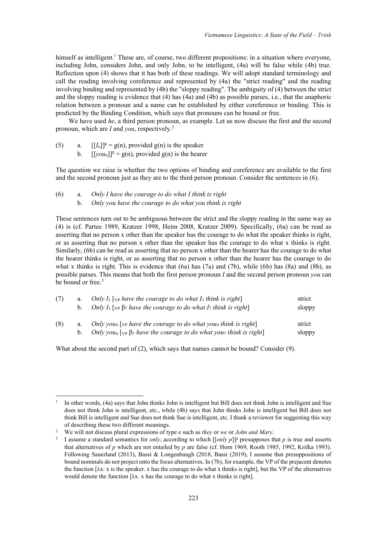himself as intelligent.<sup>1</sup> These are, of course, two different propositions: in a situation where everyone, including John, considers John, and only John, to be intelligent, (4a) will be false while (4b) true. Reflection upon (4) shows that it has both of these readings. We will adopt standard terminology and call the reading involving coreference and represented by (4a) the "strict reading" and the reading involving binding and represented by (4b) the "sloppy reading". The ambiguity of (4) between the strict and the sloppy reading is evidence that (4) has (4a) and (4b) as possible parses, i.e., that the anaphoric relation between a pronoun and a name can be established by either coreference or binding. This is predicted by the Binding Condition, which says that pronouns can be bound or free.

We have used *he*, a third person pronoun, as example. Let us now discuss the first and the second pronoun, which are *I* and *you*, respectively.2

- (5) a.  $[[I_n]]^g = g(n)$ , provided  $g(n)$  is the speaker
	- b.  $[[\text{vou}_n]]^g = g(n)$ , provided  $g(n)$  is the hearer

The question we raise is whether the two options of binding and coreference are available to the first and the second pronoun just as they are to the third person pronoun. Consider the sentences in (6).

(6) a. *Only I have the courage to do what I think is right* b. *Only you have the courage to do what you think is right*

These sentences turn out to be ambiguous between the strict and the sloppy reading in the same way as (4) is (cf. Partee 1989, Kratzer 1998, Heim 2008, Kratzer 2009). Specifically, (6a) can be read as asserting that no person x other than the speaker has the courage to do what the speaker thinks is right, or as asserting that no person x other than the speaker has the courage to do what x thinks is right. Similarly, (6b) can be read as asserting that no person x other than the hearer has the courage to do what the hearer thinks is right, or as asserting that no person x other than the hearer has the courage to do what x thinks is right. This is evidence that  $(6a)$  has  $(7a)$  and  $(7b)$ , while  $(6b)$  has  $(8a)$  and  $(8b)$ , as possible parses. This means that both the first person pronoun *I* and the second person pronoun *you* can be bound or free.<sup>3</sup>

| (7) | a.        | Only $I_3$ [ <sub>VP</sub> have the courage to do what $I_3$ think is right]                                      |        |  |  |  |
|-----|-----------|-------------------------------------------------------------------------------------------------------------------|--------|--|--|--|
|     | $b_{\rm}$ | Only $I_3$ [ <sub>VP</sub> $\beta_7$ have the courage to do what $I_7$ think is right]                            | sloppy |  |  |  |
| (8) | a.        | Only you <sub>4</sub> [ $v$ <sub>P</sub> have the courage to do what you <sub>4</sub> think is right]             | strict |  |  |  |
|     | $b_{1}$   | Only you <sub>4</sub> [ $_{VP}$ $\beta$ <sub>7</sub> have the courage to do what you <sub>7</sub> think is right] | sloppy |  |  |  |

What about the second part of (2), which says that names cannot be bound? Consider (9).

<sup>1</sup> In other words, (4a) says that John thinks John is intelligent but Bill does not think John is intelligent and Sue does not think John is intelligent, etc., while (4b) says that John thinks John is intelligent but Bill does not think Bill is intelligent and Sue does not think Sue is intelligent, etc. I thank a reviewer for suggesting this way of describing these two different meanings.

<sup>2</sup> We will not discuss plural expressions of type e such as *they* or *we* or *John and Mary*.

<sup>3</sup> I assume a standard semantics for *only*, according to which [[*only p*]]g presupposes that *p* is true and asserts that alternatives of *p* which are not entailed by *p* are false (cf. Horn 1969, Rooth 1985, 1992, Krifka 1993). Following Sauerland (2013), Bassi & Longenbaugh (2018, Bassi (2019), I assume that presuppositions of bound nominals do not project onto the focus alternatives. In (7b), for example, the VP of the prejacent denotes the function  $[\lambda x: x]$  is the speaker. x has the courage to do what x thinks is right], but the VP of the alternatives would denote the function  $[\lambda x]$ . x has the courage to do what x thinks is right.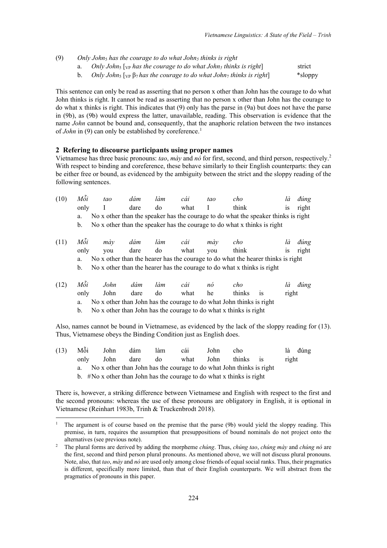- (9) *Only John*<sup>5</sup> *has the courage to do what John5 thinks is right*
	- a. *Only John<sub>5</sub>* [v<sub>P</sub> *has the courage to do what John<sub>5</sub> thinks is right*] strict
	- b. *Only John*<sup>5</sup> [VP β7 *has the courage to do what John*<sup>7</sup> *thinks is right*] \*sloppy

This sentence can only be read as asserting that no person x other than John has the courage to do what John thinks is right. It cannot be read as asserting that no person x other than John has the courage to do what x thinks is right. This indicates that (9) only has the parse in (9a) but does not have the parse in (9b), as (9b) would express the latter, unavailable, reading. This observation is evidence that the name *John* cannot be bound and, consequently, that the anaphoric relation between the two instances of *John* in (9) can only be established by coreference.<sup>1</sup>

### **2 Refering to discourse participants using proper names**

Vietnamese has three basic pronouns: *tao*, *mày* and *nó* for first, second, and third person, respectively.<sup>2</sup> With respect to binding and coreference, these behave similarly to their English counterparts: they can be either free or bound, as evidenced by the ambiguity between the strict and the sloppy reading of the following sentences.

| (10) | Môi  | tao  | dám  | làm | cái  | tao | cho                                                                                |           | là    | dúng  |
|------|------|------|------|-----|------|-----|------------------------------------------------------------------------------------|-----------|-------|-------|
|      | only |      | dare | do  | what |     | think                                                                              |           | 1S    | right |
|      | a.   |      |      |     |      |     | No x other than the speaker has the courage to do what the speaker thinks is right |           |       |       |
|      | b.   |      |      |     |      |     | No x other than the speaker has the courage to do what x thinks is right           |           |       |       |
| (11) | Mỗi  | mày  | dám  | làm | cái  | mày | cho                                                                                |           | là    | dúng  |
|      | only | you  | dare | do  | what | you | think                                                                              |           | 1S    | right |
|      | a.   |      |      |     |      |     | No x other than the hearer has the courage to do what the hearer thinks is right   |           |       |       |
|      | b.   |      |      |     |      |     | No x other than the hearer has the courage to do what x thinks is right            |           |       |       |
| (12) | Mỗi  | John | dám  | làm | cái  | nó  | cho                                                                                |           | là    | dúng  |
|      | only | John | dare | do  | what | he  | thinks                                                                             | <b>1S</b> | right |       |
|      | a.   |      |      |     |      |     | No x other than John has the courage to do what John thinks is right               |           |       |       |
|      | b.   |      |      |     |      |     | No x other than John has the courage to do what x thinks is right                  |           |       |       |

Also, names cannot be bound in Vietnamese, as evidenced by the lack of the sloppy reading for (13). Thus, Vietnamese obeys the Binding Condition just as English does.

| (13) | Mỗi                                                                        | John | dám  | làm | cái  | John | cho       |  | đúng  |  |  |
|------|----------------------------------------------------------------------------|------|------|-----|------|------|-----------|--|-------|--|--|
|      | only                                                                       | John | dare | do  | what | John | thinks is |  | right |  |  |
|      | No x other than John has the courage to do what John thinks is right<br>a. |      |      |     |      |      |           |  |       |  |  |
|      | b. $#No x$ other than John has the courage to do what x thinks is right    |      |      |     |      |      |           |  |       |  |  |

There is, however, a striking difference between Vietnamese and English with respect to the first and the second pronouns: whereas the use of these pronouns are obligatory in English, it is optional in Vietnamese (Reinhart 1983b, Trinh & Truckenbrodt 2018).

<sup>1</sup> The argument is of course based on the premise that the parse (9b) would yield the sloppy reading. This premise, in turn, requires the assumption that presuppositions of bound nominals do not project onto the alternatives (see previous note).

<sup>2</sup> The plural forms are derived by adding the morpheme *chúng*. Thus, *chúng tao*, *chúng mày* and *chúng nó* are the first, second and third person plural pronouns. As mentioned above, we will not discuss plural pronouns. Note, also, that *tao*, *mày* and *nó* are used only among close friends of equal social ranks. Thus, their pragmatics is different, specifically more limited, than that of their English counterparts. We will abstract from the pragmatics of pronouns in this paper.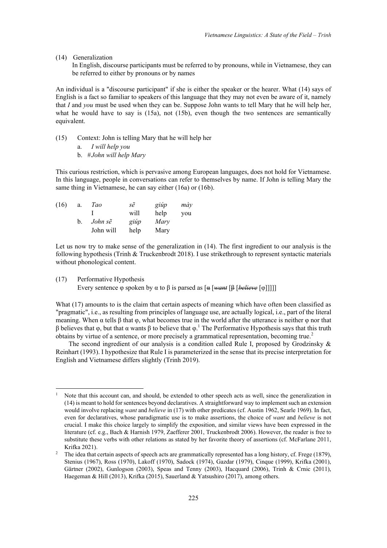(14) Generalization

In English, discourse participants must be referred to by pronouns, while in Vietnamese, they can be referred to either by pronouns or by names

An individual is a "discourse participant" if she is either the speaker or the hearer. What (14) says of English is a fact so familiar to speakers of this language that they may not even be aware of it, namely that *I* and *you* must be used when they can be. Suppose John wants to tell Mary that he will help her, what he would have to say is  $(15a)$ , not  $(15b)$ , even though the two sentences are semantically equivalent.

(15) Context: John is telling Mary that he will help her

a. *I will help you*

b. #*John will help Mary*

This curious restriction, which is pervasive among European languages, does not hold for Vietnamese. In this language, people in conversations can refer to themselves by name. If John is telling Mary the same thing in Vietnamese, he can say either (16a) or (16b).

| (16) | a.      | Tao       | sẽ   | giúp | mày |
|------|---------|-----------|------|------|-----|
|      |         |           | will | help | you |
|      | $b_{-}$ | John sẽ   | giúp | Mary |     |
|      |         | John will | help | Mary |     |

Let us now try to make sense of the generalization in (14). The first ingredient to our analysis is the following hypothesis (Trinh & Truckenbrodt 2018). I use strikethrough to represent syntactic materials without phonological content.

#### (17) Performative Hypothesis

Every sentence  $\varphi$  spoken by  $\alpha$  to  $\beta$  is parsed as  $\lceil \alpha \rceil \lceil \alpha n + \lceil \beta \rceil \leq \ell$ 

What (17) amounts to is the claim that certain aspects of meaning which have often been classified as "pragmatic", i.e., as resulting from principles of language use, are actually logical, i.e., part of the literal meaning. When  $\alpha$  tells  $\beta$  that  $\varphi$ , what becomes true in the world after the utterance is neither  $\varphi$  nor that β believes that  $\varphi$ , but that  $\alpha$  wants β to believe that  $\varphi$ .<sup>1</sup> The Performative Hypothesis says that this truth obtains by virtue of a sentence, or more precisely a grammatical representation, becoming true.<sup>2</sup>

The second ingredient of our analysis is a condition called Rule I, proposed by Grodzinsky  $\&$ Reinhart (1993). I hypothesize that Rule I is parameterized in the sense that its precise interpretation for English and Vietnamese differs slightly (Trinh 2019).

Note that this account can, and should, be extended to other speech acts as well, since the generalization in (14) is meant to hold for sentences beyond declaratives. A straightforward way to implement such an extension would involve replacing *want* and *believe* in (17) with other predicates (cf. Austin 1962, Searle 1969). In fact, even for declaratives, whose paradigmatic use is to make assertions, the choice of *want* and *believe* is not crucial. I make this choice largely to simplify the exposition, and similar views have been expressed in the literature (cf. e.g., Bach & Harnish 1979, Zaefferer 2001, Truckenbrodt 2006). However, the reader is free to substitute these verbs with other relations as stated by her favorite theory of assertions (cf. McFarlane 2011, Krifka 2021).

<sup>&</sup>lt;sup>2</sup> The idea that certain aspects of speech acts are grammatically represented has a long history, cf. Frege (1879), Stenius (1967), Ross (1970), Lakoff (1970), Sadock (1974), Gazdar (1979), Cinque (1999), Krifka (2001), Gärtner (2002), Gunlogson (2003), Speas and Tenny (2003), Hacquard (2006), Trinh & Crnic (2011), Haegeman & Hill (2013), Krifka (2015), Sauerland & Yatsushiro (2017), among others.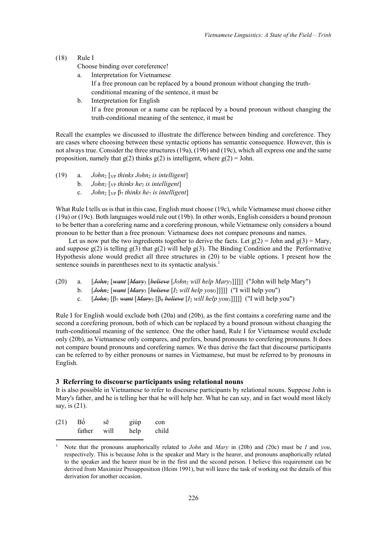(18) Rule I

Choose binding over coreference!

- a. Interpretation for Vietnamese
	- If a free pronoun can be replaced by a bound pronoun without changing the truth-
	- conditional meaning of the sentence, it must be
- b. Interpretation for English If a free pronoun or a name can be replaced by a bound pronoun without changing the truth-conditional meaning of the sentence, it must be

Recall the examples we discussed to illustrate the difference between binding and coreference. They are cases where choosing between these syntactic options has semantic consequence. However, this is not always true. Consider the three structures (19a), (19b) and (19c), which all express one and the same proposition, namely that  $g(2)$  thinks  $g(2)$  is intelligent, where  $g(2) =$  John.

- (19) a. *John*<sub>2</sub> [<sub>VP</sub> *thinks John*<sub>2</sub> *is intelligent*]
	- b. *John*<sup>2</sup> [VP *thinks he*<sup>2</sup> *is intelligent*]
	- c. *John*<sup>2</sup> [VP β<sup>7</sup> *thinks he*<sup>7</sup> *is intelligent*]

What Rule I tells us is that in this case, English must choose (19c), while Vietnamese must choose either (19a) or (19c). Both languages would rule out (19b). In other words, English considers a bound pronoun to be better than a corefering name and a corefering pronoun, while Vietnamese only considers a bound pronoun to be better than a free pronoun: Vietnamese does not compare pronouns and names.

Let us now put the two ingredients together to derive the facts. Let  $g(2) =$  John and  $g(3) =$  Mary, and suppose  $g(2)$  is telling  $g(3)$  that  $g(2)$  will help  $g(3)$ . The Binding Condition and the Performative Hypothesis alone would predict all three structures in (20) to be viable options. I present how the sentence sounds in parentheses next to its syntactic analysis.<sup>1</sup>

- (20) a. [*John*<sup>2</sup> [*want* [*Mary*<sup>3</sup> [*believe* [*John*<sup>2</sup> *will help Mary*3]]]]] ("John will help Mary")
	- b.  $[John<sub>2</sub> [want [Mary<sub>3</sub> [believe [I<sub>2</sub> will help you<sub>3</sub>]]]] (T will help you<sup>n</sup>)$
	- c.  $[John<sub>2</sub> [\beta<sub>7</sub> want [Mary<sub>3</sub> [\beta<sub>8</sub> *believe* [I<sub>2</sub> *will help you*3]]]] ] ("I will help you")$

Rule I for English would exclude both (20a) and (20b), as the first contains a corefering name and the second a corefering pronoun, both of which can be replaced by a bound pronoun without changing the truth-conditional meaning of the sentence. One the other hand, Rule I for Vietnamese would exclude only (20b), as Vietnamese only compares, and prefers, bound pronouns to corefering pronouns. It does not compare bound pronouns and corefering names. We thus derive the fact that discourse participants can be referred to by either pronouns or names in Vietnamese, but must be referred to by pronouns in English.

## **3 Referring to discourse participants using relational nouns**

It is also possible in Vietnamese to refer to discourse participants by relational nouns. Suppose John is Mary's father, and he is telling her that he will help her. What he can say, and in fact would most likely say, is (21).

| (21) | Bô     | sẽ   | giúp | con   |
|------|--------|------|------|-------|
|      | father | will | help | child |

<sup>1</sup> Note that the pronouns anaphorically related to *John* and *Mary* in (20b) and (20c) must be *I* and *you*, respectively. This is because John is the speaker and Mary is the hearer, and pronouns anaphorically related to the speaker and the hearer must be in the first and the second person. I believe this requirement can be derived from Maximize Presupposition (Heim 1991), but will leave the task of working out the details of this derivation for another occasion.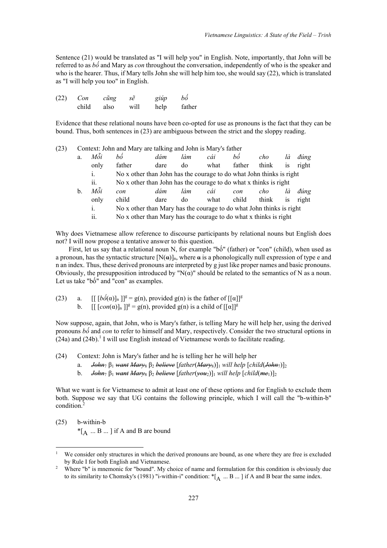Sentence (21) would be translated as "I will help you" in English. Note, importantly, that John will be referred to as *bố* and Mary as *con* throughout the conversation, independently of who is the speaker and who is the hearer. Thus, if Mary tells John she will help him too, she would say (22), which is translated as "I will help you too" in English.

| (22) | Con   | cũng | sẽ   | giúp | hồ     |
|------|-------|------|------|------|--------|
|      | child | also | will | help | father |

Evidence that these relational nouns have been co-opted for use as pronouns is the fact that they can be bound. Thus, both sentences in (23) are ambiguous between the strict and the sloppy reading.

| (23) |             |      | Context: John and Mary are talking and John is Mary's father |                                                                      |     |      |        |       |           |       |
|------|-------------|------|--------------------------------------------------------------|----------------------------------------------------------------------|-----|------|--------|-------|-----------|-------|
|      | a.          | Môi  | hô                                                           | dám                                                                  | làm | cái  | bô     | cho   | là        | dúng  |
|      |             | only | father                                                       | dare                                                                 | do  | what | father | think | <b>1S</b> | right |
|      |             | i.   |                                                              | No x other than John has the courage to do what John thinks is right |     |      |        |       |           |       |
|      |             | ii.  |                                                              | No x other than John has the courage to do what x thinks is right    |     |      |        |       |           |       |
|      | $\mathbf b$ | Mõi  | con                                                          | dám                                                                  | làm | cái  | con    | cho   | là        | dúng  |
|      |             | only | child                                                        | dare                                                                 | do  | what | child  | think | <b>1S</b> | right |
|      |             | i.   |                                                              | No x other than Mary has the courage to do what John thinks is right |     |      |        |       |           |       |
|      |             | 11.  |                                                              | No x other than Mary has the courage to do what x thinks is right    |     |      |        |       |           |       |

Why does Vietnamese allow reference to discourse participants by relational nouns but English does not? I will now propose a tentative answer to this question.

First, let us say that a relational noun N, for example "bố" (father) or "con" (child), when used as a pronoun, has the syntactic structure  $[N(\alpha)]_n$ , where  $\alpha$  is a phonologically null expression of type e and n an index. Thus, these derived pronouns are interpreted by g just like proper names and basic pronouns. Obviously, the presupposition introduced by " $N(\alpha)$ " should be related to the semantics of N as a noun. Let us take "bố" and "con" as examples.

(23) a.  $[[ [b\acute{\phi}(\alpha)]_n]]^g = g(n)$ , provided  $g(n)$  is the father of  $[[\alpha]]^g$ b.  $[ [con(\alpha)]_n ]]^{g} = g(n)$ , provided  $g(n)$  is a child of  $[[\alpha]]^{g}$ 

Now suppose, again, that John, who is Mary's father, is telling Mary he will help her, using the derived pronouns *bố* and *con* to refer to himself and Mary, respectively. Consider the two structural options in  $(24a)$  and  $(24b)$ .<sup>1</sup> I will use English instead of Vietnamese words to facilitate reading.

- (24) Context: John is Mary's father and he is telling her he will help her
	- a. *John*<sup>7</sup> β<sup>1</sup> *want Mary*<sup>8</sup> β<sup>2</sup> *believe* [*father*(*Mary*8)]1 *will help* [*child*(*John*7)]2
	- b. *John*<sup>7</sup> β<sup>1</sup> *want Mary*<sup>8</sup> β<sup>2</sup> *believe* [*father*(*you*2)]1 *will help* [*child*(*me*1)]2

What we want is for Vietnamese to admit at least one of these options and for English to exclude them both. Suppose we say that UG contains the following principle, which I will call the "b-within-b" condition.<sup>2</sup>

(25) b-within-b  $*$ [ $\Delta$  ... B ... ] if A and B are bound

We consider only structures in which the derived pronouns are bound, as one where they are free is excluded by Rule I for both English and Vietnamese.

<sup>&</sup>lt;sup>2</sup> Where "b" is mnemonic for "bound". My choice of name and formulation for this condition is obviously due to its similarity to Chomsky's (1981) "i-within-i" condition:  $*$ [ $_A$  ... B ...] if A and B bear the same index.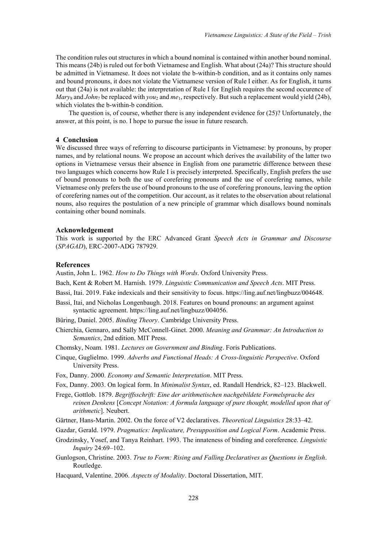The condition rules out structures in which a bound nominal is contained within another bound nominal. This means (24b) is ruled out for both Vietnamese and English. What about (24a)? This structure should be admitted in Vietnamese. It does not violate the b-within-b condition, and as it contains only names and bound pronouns, it does not violate the Vietnamese version of Rule I either. As for English, it turns out that (24a) is not available: the interpretation of Rule I for English requires the second occurence of *Mary*<sup>8</sup> and *John*<sup>7</sup> be replaced with *you*<sup>2</sup> and *me*1, respectively. But such a replacement would yield (24b), which violates the b-within-b condition.

The question is, of course, whether there is any independent evidence for (25)? Unfortunately, the answer, at this point, is no. I hope to pursue the issue in future research.

## **4 Conclusion**

We discussed three ways of referring to discourse participants in Vietnamese: by pronouns, by proper names, and by relational nouns. We propose an account which derives the availability of the latter two options in Vietnamese versus their absence in English from one parametric difference between these two languages which concerns how Rule I is precisely interpreted. Specifically, English prefers the use of bound pronouns to both the use of corefering pronouns and the use of corefering names, while Vietnamese only prefers the use of bound pronouns to the use of corefering pronouns, leaving the option of corefering names out of the competition. Our account, as it relates to the observation about relational nouns, also requires the postulation of a new principle of grammar which disallows bound nominals containing other bound nominals.

### **Acknowledgement**

This work is supported by the ERC Advanced Grant *Speech Acts in Grammar and Discourse* (*SPAGAD*), ERC-2007-ADG 787929.

#### **References**

Austin, John L. 1962. *How to Do Things with Words*. Oxford University Press.

- Bach, Kent & Robert M. Harnish. 1979. *Linguistic Communication and Speech Acts*. MIT Press.
- Bassi, Itai. 2019. Fake indexicals and their sensitivity to focus. https://ling.auf.net/lingbuzz/004648.
- Bassi, Itai, and Nicholas Longenbaugh. 2018. Features on bound pronouns: an argument against syntactic agreement. https://ling.auf.net/lingbuzz/004056.
- Büring, Daniel. 2005. *Binding Theory*. Cambridge University Press.
- Chierchia, Gennaro, and Sally McConnell-Ginet. 2000. *Meaning and Grammar: An Introduction to Semantics*, 2nd edition. MIT Press.
- Chomsky, Noam. 1981. *Lectures on Government and Binding*. Foris Publications.
- Cinque, Guglielmo. 1999. *Adverbs and Functional Heads: A Cross-linguistic Perspective*. Oxford University Press.
- Fox, Danny. 2000. *Economy and Semantic Interpretation*. MIT Press.
- Fox, Danny. 2003. On logical form. In *Minimalist Syntax*, ed. Randall Hendrick, 82–123. Blackwell.
- Frege, Gottlob. 1879. *Begriffsschrift: Eine der arithmetischen nachgebildete Formelsprache des reinen Denkens* [*Concept Notation: A formula language of pure thought, modelled upon that of arithmetic*]. Neubert.
- Gärtner, Hans-Martin. 2002. On the force of V2 declaratives. *Theoretical Linguistics* 28:33–42.
- Gazdar, Gerald. 1979. *Pragmatics: Implicature, Presupposition and Logical Form*. Academic Press.
- Grodzinsky, Yosef, and Tanya Reinhart. 1993. The innateness of binding and coreference. *Linguistic Inquiry* 24:69–102.
- Gunlogson, Christine. 2003. *True to Form: Rising and Falling Declaratives as Questions in English*. Routledge.
- Hacquard, Valentine. 2006. *Aspects of Modality*. Doctoral Dissertation, MIT.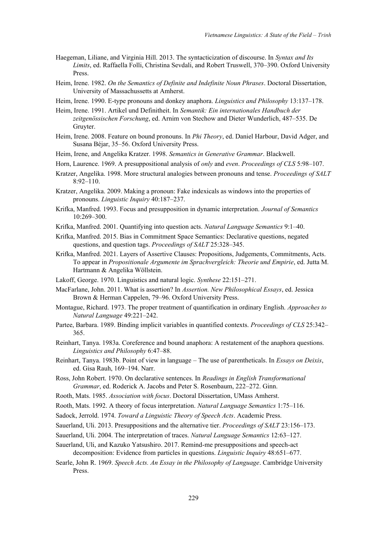- Haegeman, Liliane, and Virginia Hill. 2013. The syntacticization of discourse. In *Syntax and Its Limits*, ed. Raffaella Folli, Christina Sevdali, and Robert Truswell, 370–390. Oxford University Press.
- Heim, Irene. 1982. *On the Semantics of Definite and Indefinite Noun Phrases*. Doctoral Dissertation, University of Massachussetts at Amherst.
- Heim, Irene. 1990. E-type pronouns and donkey anaphora. *Linguistics and Philosophy* 13:137–178.
- Heim, Irene. 1991. Artikel und Definitheit. In *Semantik: Ein internationales Handbuch der zeitgenössischen Forschung*, ed. Arnim von Stechow and Dieter Wunderlich, 487–535. De Gruyter.
- Heim, Irene. 2008. Feature on bound pronouns. In *Phi Theory*, ed. Daniel Harbour, David Adger, and Susana Bejar, 35–56. Oxford University Press.
- Heim, Irene, and Angelika Kratzer. 1998. *Semantics in Generative Grammar*. Blackwell.
- Horn, Laurence. 1969. A presuppositional analysis of *only* and *even*. *Proceedings of CLS* 5:98–107.
- Kratzer, Angelika. 1998. More structural analogies between pronouns and tense. *Proceedings of SALT* 8:92–110.
- Kratzer, Angelika. 2009. Making a pronoun: Fake indexicals as windows into the properties of pronouns. *Linguistic Inquiry* 40:187–237.
- Krifka, Manfred. 1993. Focus and presupposition in dynamic interpretation. *Journal of Semantics* 10:269–300.
- Krifka, Manfred. 2001. Quantifying into question acts. *Natural Language Semantics* 9:1–40.
- Krifka, Manfred. 2015. Bias in Commitment Space Semantics: Declarative questions, negated questions, and question tags. *Proceedings of SALT* 25:328–345.
- Krifka, Manfred. 2021. Layers of Assertive Clauses: Propositions, Judgements, Commitments, Acts. To appear in *Propositionale Argumente im Sprachvergleich: Theorie und Empirie*, ed. Jutta M. Hartmann & Angelika Wollstein.
- Lakoff, George. 1970. Linguistics and natural logic. *Synthese* 22:151–271.
- MacFarlane, John. 2011. What is assertion? In *Assertion. New Philosophical Essays*, ed. Jessica Brown & Herman Cappelen, 79–96. Oxford University Press.
- Montague, Richard. 1973. The proper treatment of quantification in ordinary English. *Approaches to Natural Language* 49:221–242.
- Partee, Barbara. 1989. Binding implicit variables in quantified contexts. *Proceedings of CLS* 25:342– 365.
- Reinhart, Tanya. 1983a. Coreference and bound anaphora: A restatement of the anaphora questions. *Linguistics and Philosophy* 6:47–88.
- Reinhart, Tanya. 1983b. Point of view in language The use of parentheticals. In *Essays on Deixis*, ed. Gisa Rauh, 169–194. Narr.
- Ross, John Robert. 1970. On declarative sentences. In *Readings in English Transformational Grammar*, ed. Roderick A. Jacobs and Peter S. Rosenbaum, 222–272. Ginn.
- Rooth, Mats. 1985. *Association with focus*. Doctoral Dissertation, UMass Amherst.
- Rooth, Mats. 1992. A theory of focus interpretation. *Natural Language Semantics* 1:75–116.
- Sadock, Jerrold. 1974. *Toward a Linguistic Theory of Speech Acts*. Academic Press.
- Sauerland, Uli. 2013. Presuppositions and the alternative tier. *Proceedings of SALT* 23:156–173.
- Sauerland, Uli. 2004. The interpretation of traces. *Natural Language Semantics* 12:63–127.
- Sauerland, Uli, and Kazuko Yatsushiro. 2017. Remind-me presuppositions and speech-act decomposition: Evidence from particles in questions. *Linguistic Inquiry* 48:651–677.
- Searle, John R. 1969. *Speech Acts. An Essay in the Philosophy of Language*. Cambridge University Press.